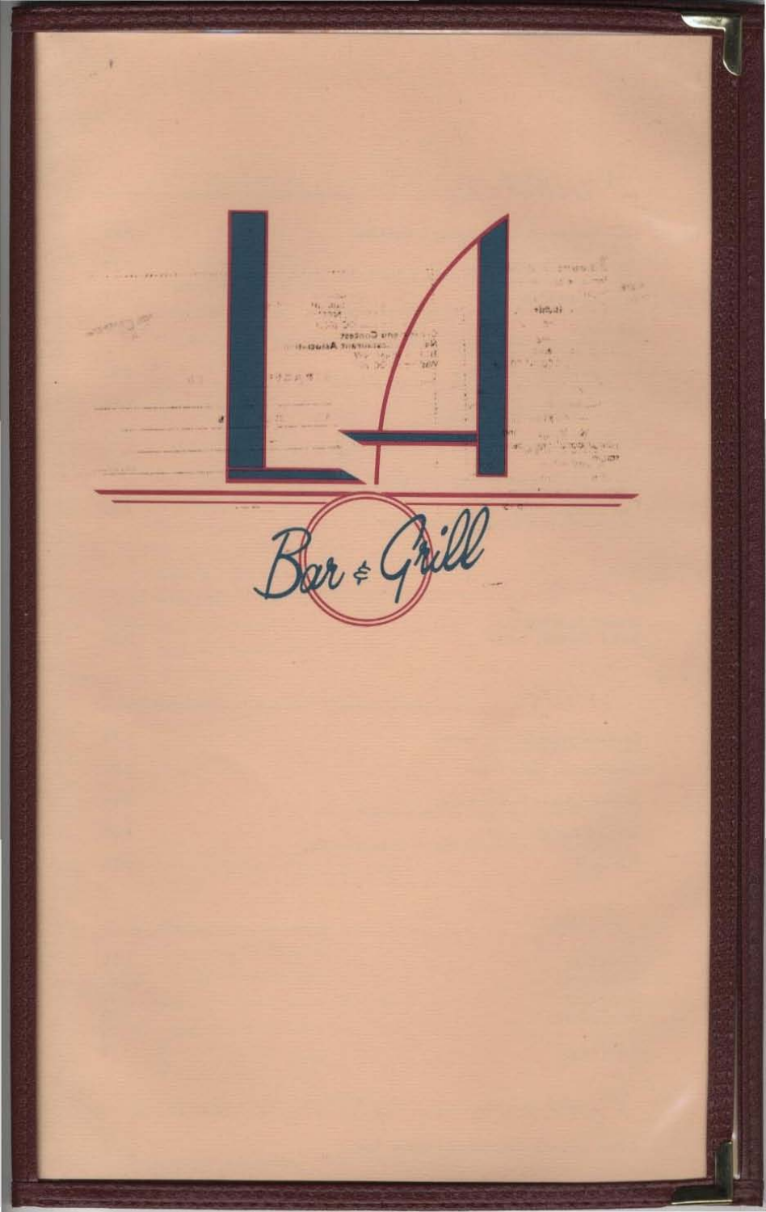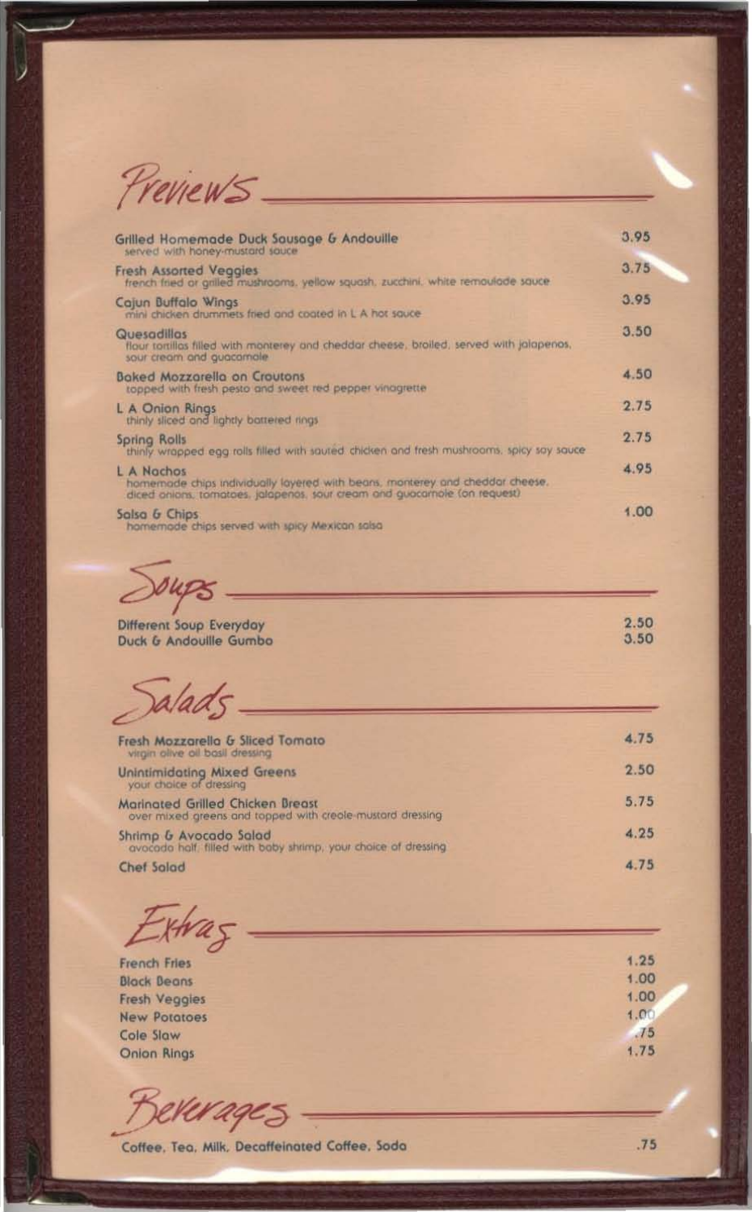Previews.

| Grilled Homemade Duck Sausage & Andouille<br>served with honey-mustard sauce                                                                                            | 3.95 |
|-------------------------------------------------------------------------------------------------------------------------------------------------------------------------|------|
| <b>Fresh Assorted Veggies</b><br>french fried or grilled mushrooms, yellow squash, zucchini, white remoulade sauce                                                      | 3.75 |
| Cajun Buffalo Wings<br>mini chicken drummets fried and coated in L A hot sauce-                                                                                         | 3.95 |
| <b>Quesadillas</b><br>flour tortillas filled with monterey and cheddar cheese, broiled, served with jalapenas,<br>sour cream and guacamale                              | 3.50 |
| <b>Baked Mozzarella on Croutons</b><br>topped with fresh pesto and sweet red pepper vinagrette                                                                          | 4.50 |
| L A Onion Rings<br>thinly sliced and lightly battered rings                                                                                                             | 2.75 |
| Spring Rolls<br>thinly wrapped egg rolls filled with sauted chicken and fresh mushrooms, spicy say sauce                                                                | 2.75 |
| L A Nachos<br>homemode chips individually layered with beans, monterey and cheddar cheese.<br>diced onions, tomatoes, jalapenos, sour cream and guacamole (on request). | 4.95 |
| Salsa & Chips<br>homemode chips served with spicy Mexican salsa                                                                                                         | 1.00 |

oups

Different Soup Everyday Duck & Andouille Gumbo

Salads

| Fresh Mozzarella & Sliced Tomato<br>virgin olive oil bosil dressing                           | 4.75 |
|-----------------------------------------------------------------------------------------------|------|
| <b>Unintimidating Mixed Greens</b><br>your choice of dressing                                 | 2.50 |
| Marinated Grilled Chicken Breast<br>over mixed greens and topped with creole mustard dressing | 5.75 |
| Shrimp & Avocado Salad<br>avocada half filled with baby shrimp, your choice of dressing       | 4.25 |
| <b>Chef Salad</b>                                                                             | 4.75 |

Extras

French Fries **Black Beans Fresh Veggles New Potatoes** Cole Slaw **Onion Rings** 

Werages

Coffee, Tea, Milk, Decaffeinated Coffee, Soda

 $.75$ 

 $1.25$ 

 $1.00$ 

1.00

1.00

 $J5$ 

 $1.75$ 

2.50  $3.50$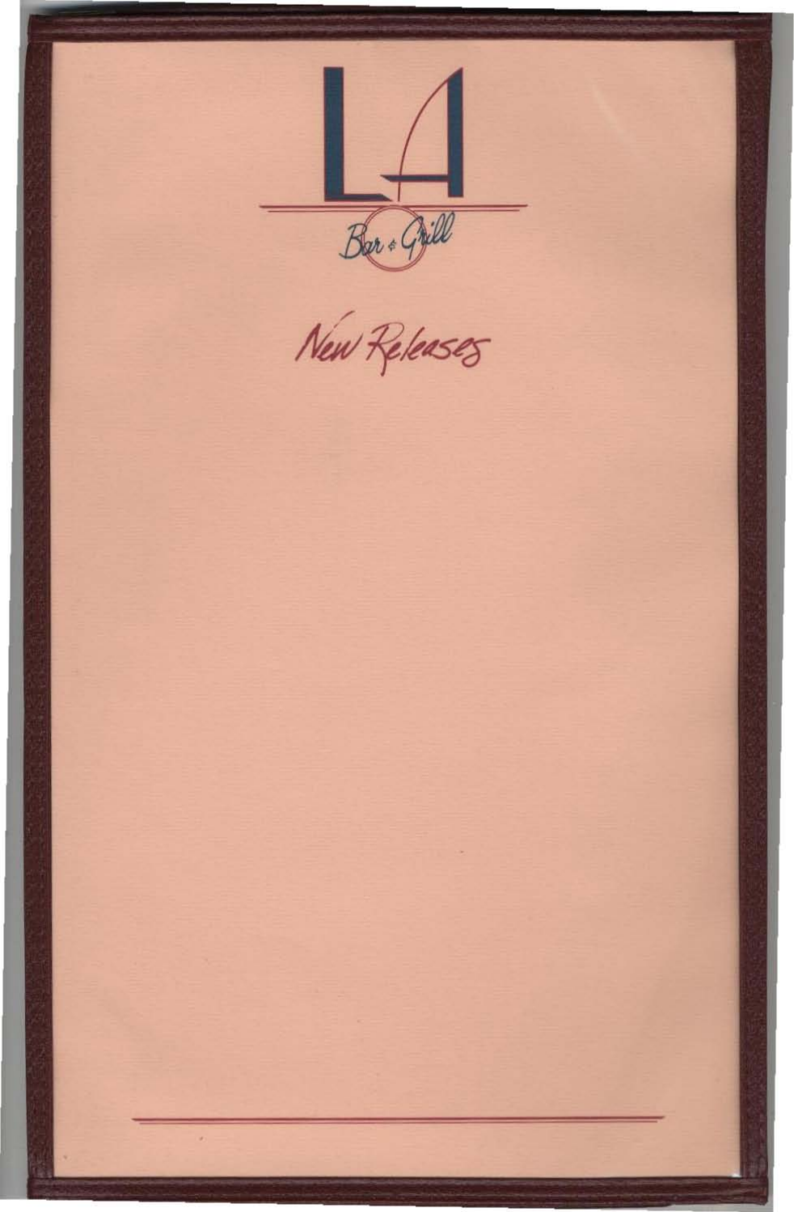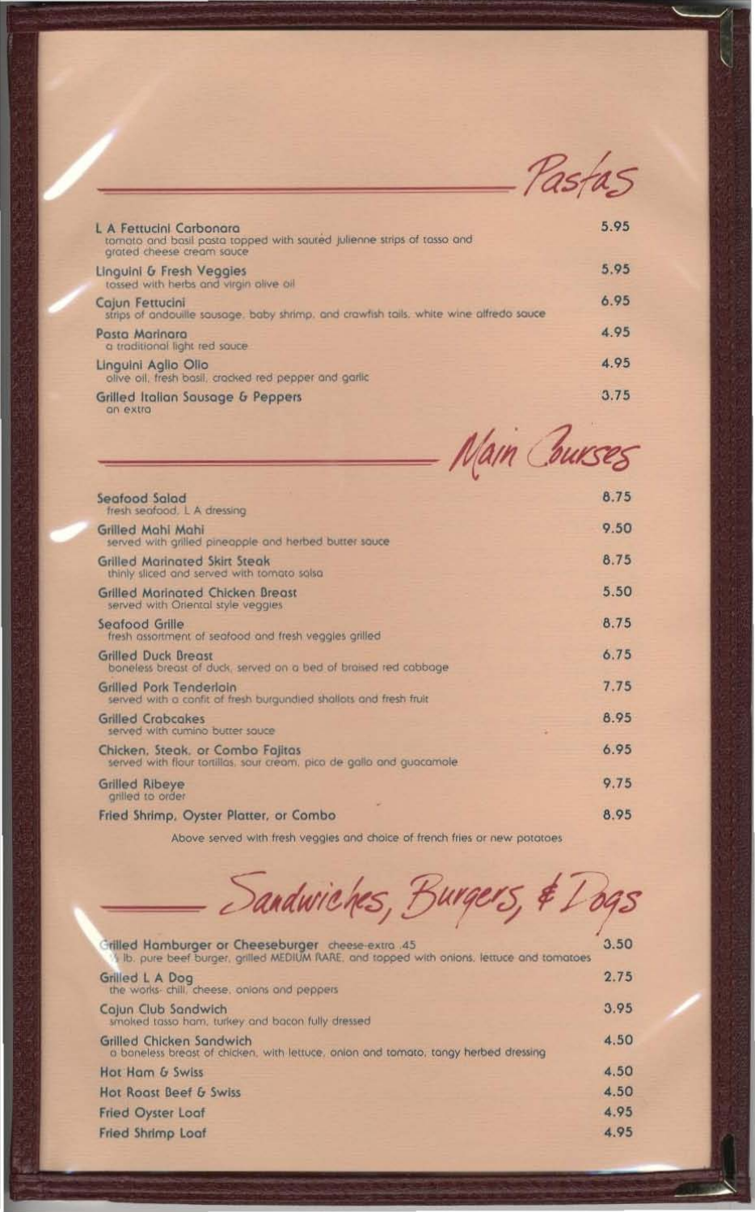Pastas

| L A Fettucini Carbonara<br>tomato and basil pasta topped with saured julienne strips of tasso and<br>grated cheese cream sauce | 5.95 |
|--------------------------------------------------------------------------------------------------------------------------------|------|
| Linguini & Fresh Veggies<br>tassed with herbs and virgin alive oil                                                             | 5.95 |
| Cajun Fettucini<br>strips of andouille sausage, baby shrimp, and crawfish tails, white wine alfredo sauce                      | 6.95 |
| Pasta Marinara<br>a traditional light red sauce                                                                                | 4.95 |
| Linguini Aglio Olio<br>olive oil, tresh basil, crocked red pepper and garlic                                                   | 4.95 |
| <b>Grilled Italian Sausage &amp; Peppers</b><br><b>CUS GUIDS</b>                                                               | 3.75 |

|                                                                                                           | Nam Courses |
|-----------------------------------------------------------------------------------------------------------|-------------|
| Seafood Salad                                                                                             | 8.75        |
| fresh seafood. L A dressing                                                                               |             |
| Grilled Mahi Mahi<br>served with grilled pineapple and herbed butter sauce                                | 9.50        |
| <b>Grilled Maringted Skirt Steak</b><br>thinly sliced and served with tomato salsa                        | 8.75        |
| Grilled Marinated Chicken Breast<br>served with Oriental style veggies                                    | 5.50        |
| Seafood Grille<br>fresh assortment of seafood and fresh veggles grilled                                   | 8.75        |
| <b>Grilled Duck Breast</b><br>boneless breast of duck, served on a bed of braised red cabbage             | 6.75        |
| Grilled Pork Tenderloin<br>served with a confit of fresh burgundied shallots and fresh fruit              | 7.75        |
| <b>Grilled Crabcakes</b><br>served with cumino butter squce                                               | 8.95        |
| Chicken, Steak, or Combo Fajitas<br>served with flour tortillas, sour cream, pico de gallo and guacamole. | 6.95        |
| <b>Grilled Ribeye</b><br>grilled to order                                                                 | 9.75        |
| Fried Shrimp, Oyster Platter, or Combo                                                                    | 8.95        |

Above served with fresh veggles and choice of french fries or new potatoes

| Sandwiches, Burgers, & Logs |  |
|-----------------------------|--|

| Grilled Hamburger or Cheeseburger cheese-extra 45<br>Ib. pure beef burger, grilled MEDIUM RARE, and topped with onions, lettuce and tomatoes | 3.50 |
|----------------------------------------------------------------------------------------------------------------------------------------------|------|
| Grilled L A Dog<br>the works- chill, cheese, onions and peppers                                                                              | 2.75 |
| Cajun Club Sandwich<br>smoked tasso ham, turkey and bacon fully dressed                                                                      | 3.95 |
| Grilled Chicken Sandwich<br>a baneless breast of chicken, with lettuce, onlon and tomato, tangy herbed dressing                              | 4.50 |
| Hot Ham & Swiss                                                                                                                              | 4.50 |
| Hot Roast Beef & Swiss                                                                                                                       | 4.50 |
| <b>Fried Oyster Loaf</b>                                                                                                                     | 4.95 |
| <b>Fried Shrimp Loaf</b>                                                                                                                     | 4.95 |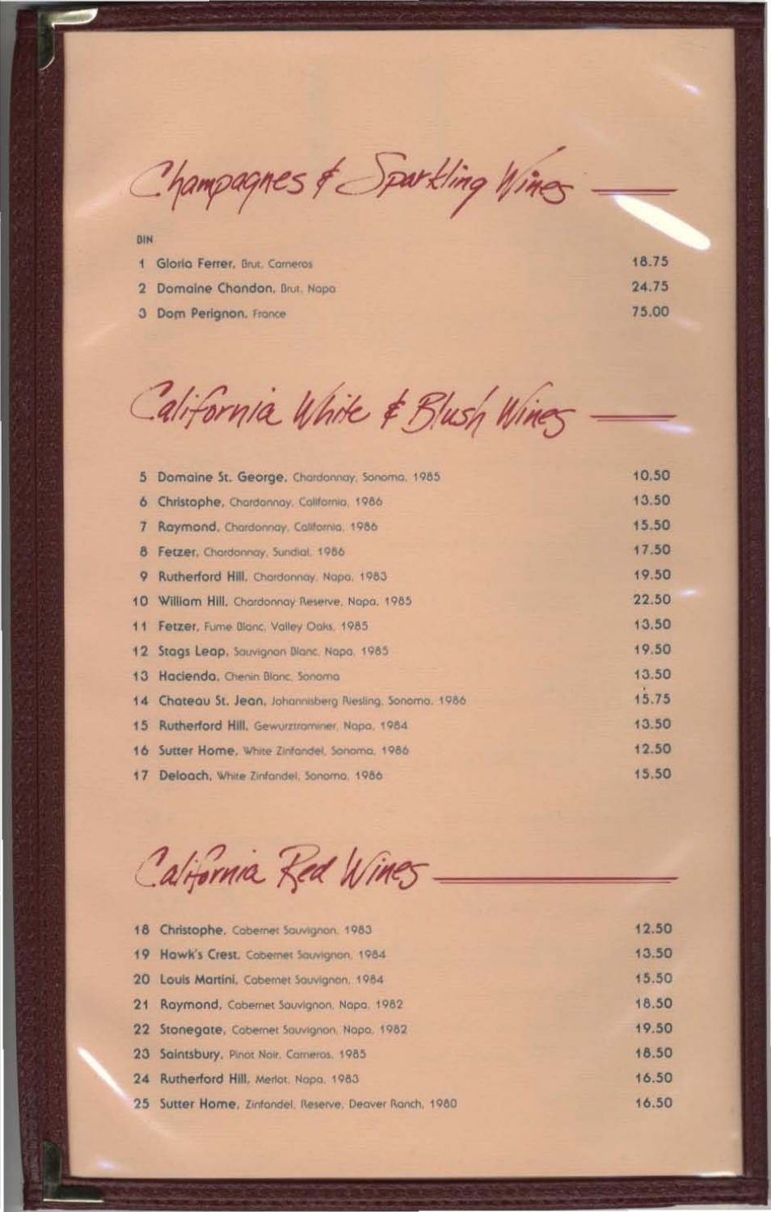Champagnes & Sportling Wines

BIN

| Gloria Ferrer, Brut, Cameros  | 18.75 |
|-------------------------------|-------|
| 2 Domaine Chandon, Brut, Napa | 24.75 |
| 3 Dom Perignon, France        | 75.00 |

California White & Blush Wines

| 5.      | Domaine St. George, Chardonnay, Sonoma, 1985              | 10.50 |
|---------|-----------------------------------------------------------|-------|
| $\circ$ | Christophe, Chardonnay, California, 1986.                 | 13.50 |
| 7       | Raymond, Chardonnay, California, 1986                     | 15.50 |
| 8       | Fetzer, Chardonnay, Sundial, 1986                         | 17.50 |
| 9       | Rutherford Hill, Chardonnay, Napa, 1983.                  | 19.50 |
|         | 10 William Hill, Chardonnay Reserve, Napa, 1985           | 22.50 |
|         | 11 Fetzer, Fume Blanc. Valley Oaks, 1985                  | 13.50 |
|         | 12 Stags Leap, Sauvignon Blanc, Napa, 1985                | 19.50 |
|         | 13 Hacienda, Chenin Blanc, Sonoma                         | 13.50 |
|         | 14 Chateau St. Jean, Johannisberg Riesling, Sonomo, 1986. | 15.75 |
|         | 15 Rutherford Hill, Gewurztraminer, Napa, 1984.           | 13.50 |
|         | 16 Sutter Home, White Zinfandel, Sonoma, 1986             | 12.50 |
|         | 17 Deloach, White Zinfondel, Sanarna, 1986.               | 15.50 |

California Red Wines

| 18 Christophe, Cabernet Sauvignan, 1983                | 12.50 |
|--------------------------------------------------------|-------|
| 19 Hawk's Crest, Cobernet Sauvignon, 1984              | 13.50 |
| 20 Louis Martini, Cabernet Sauvignon, 1984             | 15.50 |
| 21 Raymond, Cabernet Sauvignon, Napa, 1982             | 18.50 |
| 22 Stonegate, Cobernet Sauvignon, Nopa, 1982           | 19.50 |
| 23 Saintsbury, Pinot Noir, Cameros, 1985               | 18.50 |
| 24 Rutherford Hill, Merlot, Napa, 1983                 | 16.50 |
| 25 Sutter Home, Zinfandel, Reserve, Deaver Ranch, 1980 | 16.50 |